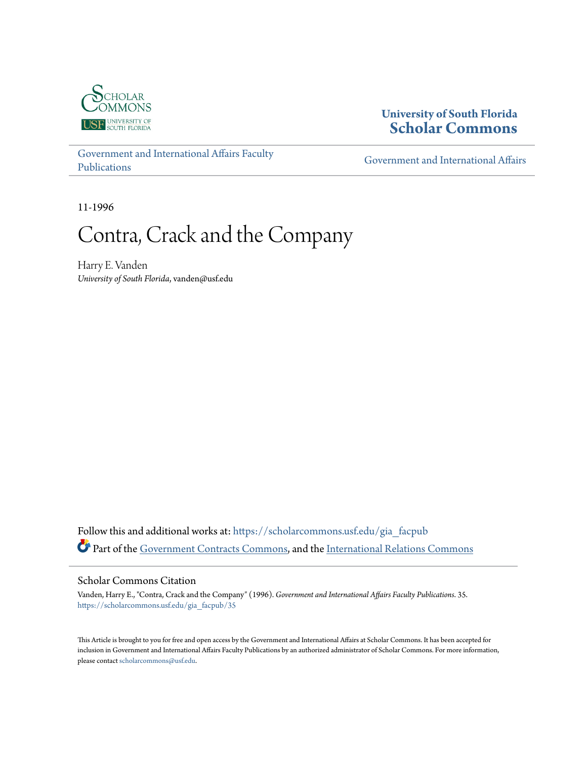

### **University of South Florida [Scholar Commons](https://scholarcommons.usf.edu?utm_source=scholarcommons.usf.edu%2Fgia_facpub%2F35&utm_medium=PDF&utm_campaign=PDFCoverPages)**

[Government and International Affairs Faculty](https://scholarcommons.usf.edu/gia_facpub?utm_source=scholarcommons.usf.edu%2Fgia_facpub%2F35&utm_medium=PDF&utm_campaign=PDFCoverPages) [Publications](https://scholarcommons.usf.edu/gia_facpub?utm_source=scholarcommons.usf.edu%2Fgia_facpub%2F35&utm_medium=PDF&utm_campaign=PDFCoverPages)

[Government and International Affairs](https://scholarcommons.usf.edu/gia?utm_source=scholarcommons.usf.edu%2Fgia_facpub%2F35&utm_medium=PDF&utm_campaign=PDFCoverPages)

11-1996

# Contra, Crack and the Company

Harry E. Vanden *University of South Florida*, vanden@usf.edu

Follow this and additional works at: [https://scholarcommons.usf.edu/gia\\_facpub](https://scholarcommons.usf.edu/gia_facpub?utm_source=scholarcommons.usf.edu%2Fgia_facpub%2F35&utm_medium=PDF&utm_campaign=PDFCoverPages) Part of the [Government Contracts Commons](http://network.bepress.com/hgg/discipline/845?utm_source=scholarcommons.usf.edu%2Fgia_facpub%2F35&utm_medium=PDF&utm_campaign=PDFCoverPages), and the [International Relations Commons](http://network.bepress.com/hgg/discipline/389?utm_source=scholarcommons.usf.edu%2Fgia_facpub%2F35&utm_medium=PDF&utm_campaign=PDFCoverPages)

#### Scholar Commons Citation

Vanden, Harry E., "Contra, Crack and the Company" (1996). *Government and International Affairs Faculty Publications*. 35. [https://scholarcommons.usf.edu/gia\\_facpub/35](https://scholarcommons.usf.edu/gia_facpub/35?utm_source=scholarcommons.usf.edu%2Fgia_facpub%2F35&utm_medium=PDF&utm_campaign=PDFCoverPages)

This Article is brought to you for free and open access by the Government and International Affairs at Scholar Commons. It has been accepted for inclusion in Government and International Affairs Faculty Publications by an authorized administrator of Scholar Commons. For more information, please contact [scholarcommons@usf.edu.](mailto:scholarcommons@usf.edu)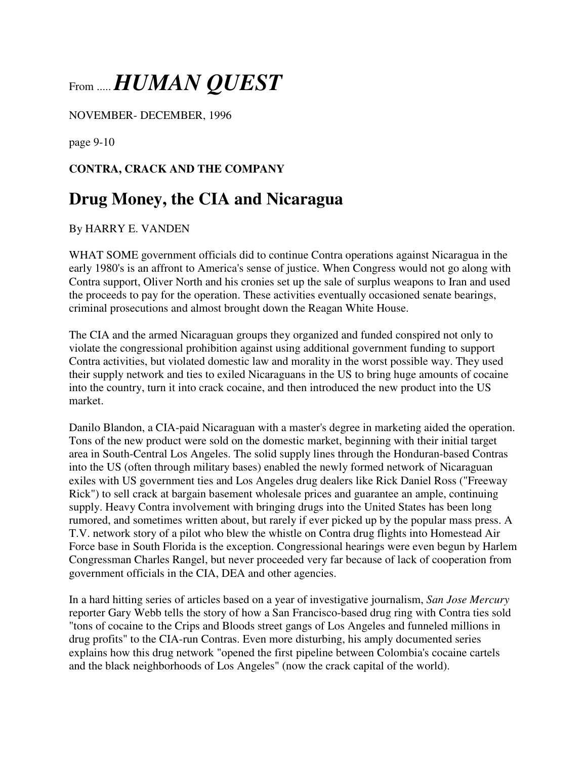## From ..... *HUMAN QUEST*

NOVEMBER- DECEMBER, 1996

page 9-10

### **CONTRA, CRACK AND THE COMPANY**

### **Drug Money, the CIA and Nicaragua**

#### By HARRY E. VANDEN

WHAT SOME government officials did to continue Contra operations against Nicaragua in the early 1980's is an affront to America's sense of justice. When Congress would not go along with Contra support, Oliver North and his cronies set up the sale of surplus weapons to Iran and used the proceeds to pay for the operation. These activities eventually occasioned senate bearings, criminal prosecutions and almost brought down the Reagan White House.

The CIA and the armed Nicaraguan groups they organized and funded conspired not only to violate the congressional prohibition against using additional government funding to support Contra activities, but violated domestic law and morality in the worst possible way. They used their supply network and ties to exiled Nicaraguans in the US to bring huge amounts of cocaine into the country, turn it into crack cocaine, and then introduced the new product into the US market.

Danilo Blandon, a CIA-paid Nicaraguan with a master's degree in marketing aided the operation. Tons of the new product were sold on the domestic market, beginning with their initial target area in South-Central Los Angeles. The solid supply lines through the Honduran-based Contras into the US (often through military bases) enabled the newly formed network of Nicaraguan exiles with US government ties and Los Angeles drug dealers like Rick Daniel Ross ("Freeway Rick") to sell crack at bargain basement wholesale prices and guarantee an ample, continuing supply. Heavy Contra involvement with bringing drugs into the United States has been long rumored, and sometimes written about, but rarely if ever picked up by the popular mass press. A T.V. network story of a pilot who blew the whistle on Contra drug flights into Homestead Air Force base in South Florida is the exception. Congressional hearings were even begun by Harlem Congressman Charles Rangel, but never proceeded very far because of lack of cooperation from government officials in the CIA, DEA and other agencies.

In a hard hitting series of articles based on a year of investigative journalism, *San Jose Mercury* reporter Gary Webb tells the story of how a San Francisco-based drug ring with Contra ties sold "tons of cocaine to the Crips and Bloods street gangs of Los Angeles and funneled millions in drug profits" to the CIA-run Contras. Even more disturbing, his amply documented series explains how this drug network "opened the first pipeline between Colombia's cocaine cartels and the black neighborhoods of Los Angeles" (now the crack capital of the world).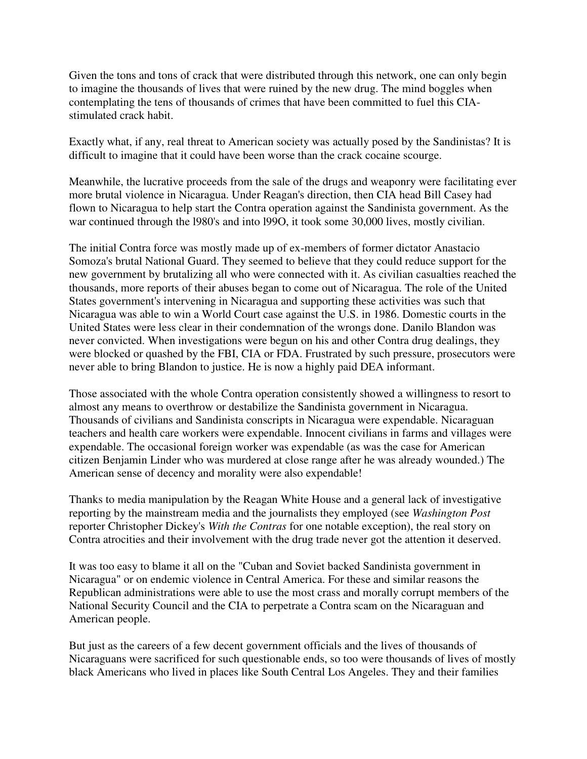Given the tons and tons of crack that were distributed through this network, one can only begin to imagine the thousands of lives that were ruined by the new drug. The mind boggles when contemplating the tens of thousands of crimes that have been committed to fuel this CIAstimulated crack habit.

Exactly what, if any, real threat to American society was actually posed by the Sandinistas? It is difficult to imagine that it could have been worse than the crack cocaine scourge.

Meanwhile, the lucrative proceeds from the sale of the drugs and weaponry were facilitating ever more brutal violence in Nicaragua. Under Reagan's direction, then CIA head Bill Casey had flown to Nicaragua to help start the Contra operation against the Sandinista government. As the war continued through the l980's and into l99O, it took some 30,000 lives, mostly civilian.

The initial Contra force was mostly made up of ex-members of former dictator Anastacio Somoza's brutal National Guard. They seemed to believe that they could reduce support for the new government by brutalizing all who were connected with it. As civilian casualties reached the thousands, more reports of their abuses began to come out of Nicaragua. The role of the United States government's intervening in Nicaragua and supporting these activities was such that Nicaragua was able to win a World Court case against the U.S. in 1986. Domestic courts in the United States were less clear in their condemnation of the wrongs done. Danilo Blandon was never convicted. When investigations were begun on his and other Contra drug dealings, they were blocked or quashed by the FBI, CIA or FDA. Frustrated by such pressure, prosecutors were never able to bring Blandon to justice. He is now a highly paid DEA informant.

Those associated with the whole Contra operation consistently showed a willingness to resort to almost any means to overthrow or destabilize the Sandinista government in Nicaragua. Thousands of civilians and Sandinista conscripts in Nicaragua were expendable. Nicaraguan teachers and health care workers were expendable. Innocent civilians in farms and villages were expendable. The occasional foreign worker was expendable (as was the case for American citizen Benjamin Linder who was murdered at close range after he was already wounded.) The American sense of decency and morality were also expendable!

Thanks to media manipulation by the Reagan White House and a general lack of investigative reporting by the mainstream media and the journalists they employed (see *Washington Post* reporter Christopher Dickey's *With the Contras* for one notable exception), the real story on Contra atrocities and their involvement with the drug trade never got the attention it deserved.

It was too easy to blame it all on the "Cuban and Soviet backed Sandinista government in Nicaragua" or on endemic violence in Central America. For these and similar reasons the Republican administrations were able to use the most crass and morally corrupt members of the National Security Council and the CIA to perpetrate a Contra scam on the Nicaraguan and American people.

But just as the careers of a few decent government officials and the lives of thousands of Nicaraguans were sacrificed for such questionable ends, so too were thousands of lives of mostly black Americans who lived in places like South Central Los Angeles. They and their families